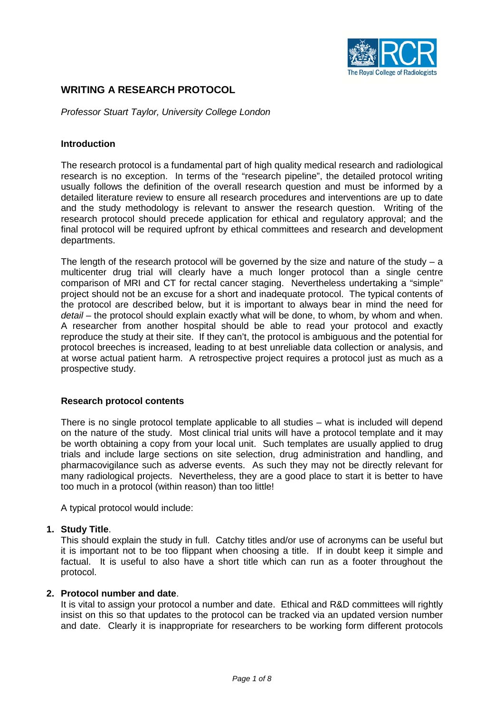

# **WRITING A RESEARCH PROTOCOL**

*Professor Stuart Taylor, University College London*

# **Introduction**

The research protocol is a fundamental part of high quality medical research and radiological research is no exception. In terms of the "research pipeline", the detailed protocol writing usually follows the definition of the overall research question and must be informed by a detailed literature review to ensure all research procedures and interventions are up to date and the study methodology is relevant to answer the research question. Writing of the research protocol should precede application for ethical and regulatory approval; and the final protocol will be required upfront by ethical committees and research and development departments.

The length of the research protocol will be governed by the size and nature of the study  $- a$ multicenter drug trial will clearly have a much longer protocol than a single centre comparison of MRI and CT for rectal cancer staging. Nevertheless undertaking a "simple" project should not be an excuse for a short and inadequate protocol. The typical contents of the protocol are described below, but it is important to always bear in mind the need for *detail* – the protocol should explain exactly what will be done, to whom, by whom and when. A researcher from another hospital should be able to read your protocol and exactly reproduce the study at their site. If they can't, the protocol is ambiguous and the potential for protocol breeches is increased, leading to at best unreliable data collection or analysis, and at worse actual patient harm. A retrospective project requires a protocol just as much as a prospective study.

#### **Research protocol contents**

There is no single protocol template applicable to all studies – what is included will depend on the nature of the study. Most clinical trial units will have a protocol template and it may be worth obtaining a copy from your local unit. Such templates are usually applied to drug trials and include large sections on site selection, drug administration and handling, and pharmacovigilance such as adverse events. As such they may not be directly relevant for many radiological projects. Nevertheless, they are a good place to start it is better to have too much in a protocol (within reason) than too little!

A typical protocol would include:

# **1. Study Title**.

This should explain the study in full. Catchy titles and/or use of acronyms can be useful but it is important not to be too flippant when choosing a title. If in doubt keep it simple and factual. It is useful to also have a short title which can run as a footer throughout the protocol.

#### **2. Protocol number and date**.

It is vital to assign your protocol a number and date. Ethical and R&D committees will rightly insist on this so that updates to the protocol can be tracked via an updated version number and date. Clearly it is inappropriate for researchers to be working form different protocols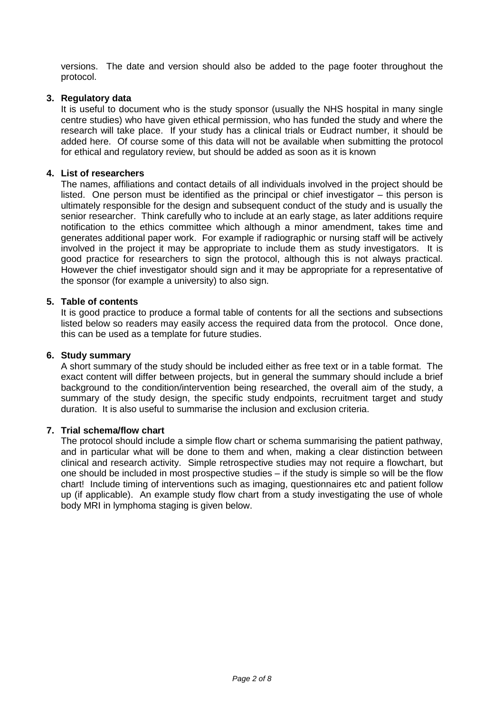versions. The date and version should also be added to the page footer throughout the protocol.

# **3. Regulatory data**

It is useful to document who is the study sponsor (usually the NHS hospital in many single centre studies) who have given ethical permission, who has funded the study and where the research will take place. If your study has a clinical trials or Eudract number, it should be added here. Of course some of this data will not be available when submitting the protocol for ethical and regulatory review, but should be added as soon as it is known

### **4. List of researchers**

The names, affiliations and contact details of all individuals involved in the project should be listed. One person must be identified as the principal or chief investigator – this person is ultimately responsible for the design and subsequent conduct of the study and is usually the senior researcher. Think carefully who to include at an early stage, as later additions require notification to the ethics committee which although a minor amendment, takes time and generates additional paper work. For example if radiographic or nursing staff will be actively involved in the project it may be appropriate to include them as study investigators. It is good practice for researchers to sign the protocol, although this is not always practical. However the chief investigator should sign and it may be appropriate for a representative of the sponsor (for example a university) to also sign.

# **5. Table of contents**

It is good practice to produce a formal table of contents for all the sections and subsections listed below so readers may easily access the required data from the protocol. Once done, this can be used as a template for future studies.

#### **6. Study summary**

A short summary of the study should be included either as free text or in a table format. The exact content will differ between projects, but in general the summary should include a brief background to the condition/intervention being researched, the overall aim of the study, a summary of the study design, the specific study endpoints, recruitment target and study duration. It is also useful to summarise the inclusion and exclusion criteria.

#### **7. Trial schema/flow chart**

The protocol should include a simple flow chart or schema summarising the patient pathway, and in particular what will be done to them and when, making a clear distinction between clinical and research activity. Simple retrospective studies may not require a flowchart, but one should be included in most prospective studies – if the study is simple so will be the flow chart! Include timing of interventions such as imaging, questionnaires etc and patient follow up (if applicable). An example study flow chart from a study investigating the use of whole body MRI in lymphoma staging is given below.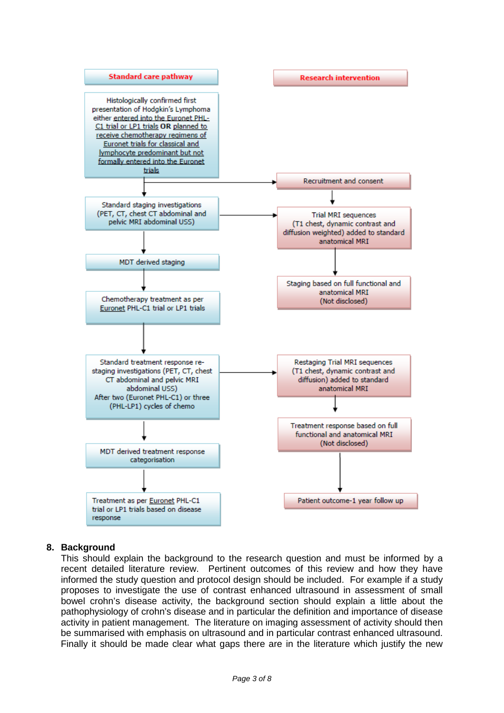

# **8. Background**

This should explain the background to the research question and must be informed by a recent detailed literature review. Pertinent outcomes of this review and how they have informed the study question and protocol design should be included. For example if a study proposes to investigate the use of contrast enhanced ultrasound in assessment of small bowel crohn's disease activity, the background section should explain a little about the pathophysiology of crohn's disease and in particular the definition and importance of disease activity in patient management. The literature on imaging assessment of activity should then be summarised with emphasis on ultrasound and in particular contrast enhanced ultrasound. Finally it should be made clear what gaps there are in the literature which justify the new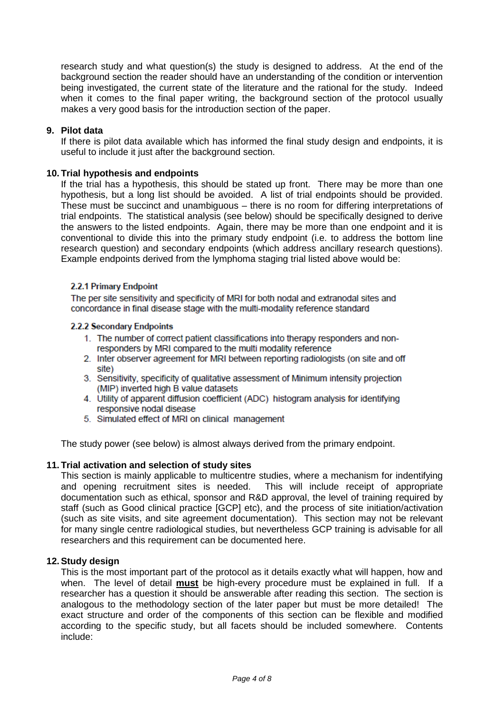research study and what question(s) the study is designed to address. At the end of the background section the reader should have an understanding of the condition or intervention being investigated, the current state of the literature and the rational for the study. Indeed when it comes to the final paper writing, the background section of the protocol usually makes a very good basis for the introduction section of the paper.

# **9. Pilot data**

If there is pilot data available which has informed the final study design and endpoints, it is useful to include it just after the background section.

# **10. Trial hypothesis and endpoints**

If the trial has a hypothesis, this should be stated up front. There may be more than one hypothesis, but a long list should be avoided. A list of trial endpoints should be provided. These must be succinct and unambiguous – there is no room for differing interpretations of trial endpoints. The statistical analysis (see below) should be specifically designed to derive the answers to the listed endpoints. Again, there may be more than one endpoint and it is conventional to divide this into the primary study endpoint (i.e. to address the bottom line research question) and secondary endpoints (which address ancillary research questions). Example endpoints derived from the lymphoma staging trial listed above would be:

# 2.2.1 Primary Endpoint

The per site sensitivity and specificity of MRI for both nodal and extranodal sites and concordance in final disease stage with the multi-modality reference standard

#### 2.2.2 Secondary Endpoints

- 1. The number of correct patient classifications into therapy responders and nonresponders by MRI compared to the multi modality reference
- 2. Inter observer agreement for MRI between reporting radiologists (on site and off site)
- 3. Sensitivity, specificity of qualitative assessment of Minimum intensity projection (MIP) inverted high B value datasets
- 4. Utility of apparent diffusion coefficient (ADC) histogram analysis for identifying responsive nodal disease
- 5. Simulated effect of MRI on clinical management

The study power (see below) is almost always derived from the primary endpoint.

#### **11. Trial activation and selection of study sites**

This section is mainly applicable to multicentre studies, where a mechanism for indentifying and opening recruitment sites is needed. This will include receipt of appropriate and opening recruitment sites is needed. documentation such as ethical, sponsor and R&D approval, the level of training required by staff (such as Good clinical practice [GCP] etc), and the process of site initiation/activation (such as site visits, and site agreement documentation). This section may not be relevant for many single centre radiological studies, but nevertheless GCP training is advisable for all researchers and this requirement can be documented here.

#### **12.Study design**

This is the most important part of the protocol as it details exactly what will happen, how and when. The level of detail **must** be high-every procedure must be explained in full. If a researcher has a question it should be answerable after reading this section. The section is analogous to the methodology section of the later paper but must be more detailed! The exact structure and order of the components of this section can be flexible and modified according to the specific study, but all facets should be included somewhere. Contents include: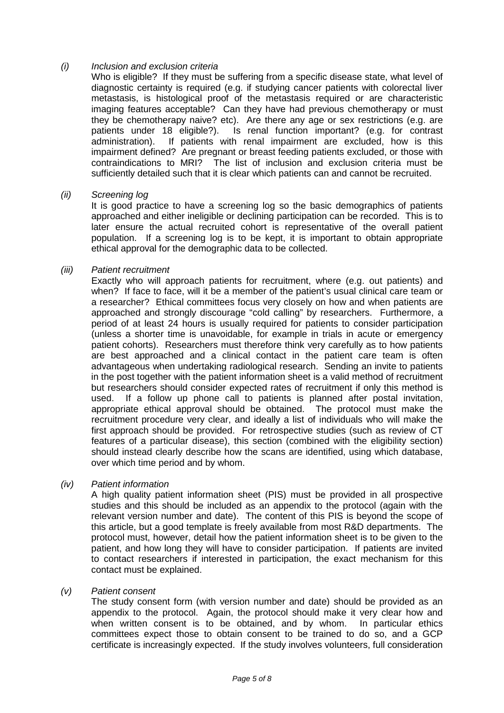# *(i) Inclusion and exclusion criteria*

Who is eligible? If they must be suffering from a specific disease state, what level of diagnostic certainty is required (e.g. if studying cancer patients with colorectal liver metastasis, is histological proof of the metastasis required or are characteristic imaging features acceptable? Can they have had previous chemotherapy or must they be chemotherapy naive? etc). Are there any age or sex restrictions (e.g. are patients under 18 eligible?). Is renal function important? (e.g. for contrast administration). If patients with renal impairment are excluded, how is this impairment defined? Are pregnant or breast feeding patients excluded, or those with contraindications to MRI? The list of inclusion and exclusion criteria must be sufficiently detailed such that it is clear which patients can and cannot be recruited.

#### *(ii) Screening log*

It is good practice to have a screening log so the basic demographics of patients approached and either ineligible or declining participation can be recorded. This is to later ensure the actual recruited cohort is representative of the overall patient population. If a screening log is to be kept, it is important to obtain appropriate ethical approval for the demographic data to be collected.

# *(iii) Patient recruitment*

Exactly who will approach patients for recruitment, where (e.g. out patients) and when? If face to face, will it be a member of the patient's usual clinical care team or a researcher? Ethical committees focus very closely on how and when patients are approached and strongly discourage "cold calling" by researchers. Furthermore, a period of at least 24 hours is usually required for patients to consider participation (unless a shorter time is unavoidable, for example in trials in acute or emergency patient cohorts). Researchers must therefore think very carefully as to how patients are best approached and a clinical contact in the patient care team is often advantageous when undertaking radiological research. Sending an invite to patients in the post together with the patient information sheet is a valid method of recruitment but researchers should consider expected rates of recruitment if only this method is used. If a follow up phone call to patients is planned after postal invitation, appropriate ethical approval should be obtained. The protocol must make the recruitment procedure very clear, and ideally a list of individuals who will make the first approach should be provided. For retrospective studies (such as review of CT features of a particular disease), this section (combined with the eligibility section) should instead clearly describe how the scans are identified, using which database, over which time period and by whom.

# *(iv) Patient information*

A high quality patient information sheet (PIS) must be provided in all prospective studies and this should be included as an appendix to the protocol (again with the relevant version number and date). The content of this PIS is beyond the scope of this article, but a good template is freely available from most R&D departments. The protocol must, however, detail how the patient information sheet is to be given to the patient, and how long they will have to consider participation. If patients are invited to contact researchers if interested in participation, the exact mechanism for this contact must be explained.

# *(v) Patient consent*

The study consent form (with version number and date) should be provided as an appendix to the protocol. Again, the protocol should make it very clear how and when written consent is to be obtained, and by whom. In particular ethics committees expect those to obtain consent to be trained to do so, and a GCP certificate is increasingly expected. If the study involves volunteers, full consideration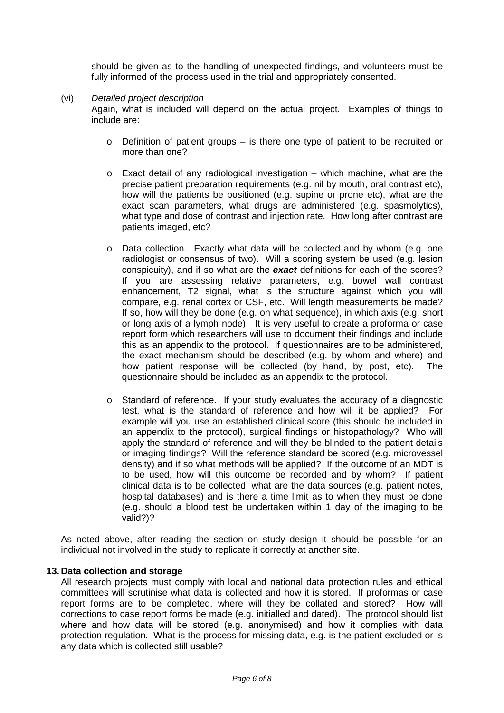should be given as to the handling of unexpected findings, and volunteers must be fully informed of the process used in the trial and appropriately consented.

#### (vi) *Detailed project description*

Again, what is included will depend on the actual project. Examples of things to include are:

- o Definition of patient groups is there one type of patient to be recruited or more than one?
- $\circ$  Exact detail of any radiological investigation which machine, what are the precise patient preparation requirements (e.g. nil by mouth, oral contrast etc), how will the patients be positioned (e.g. supine or prone etc), what are the exact scan parameters, what drugs are administered (e.g. spasmolytics), what type and dose of contrast and injection rate. How long after contrast are patients imaged, etc?
- o Data collection. Exactly what data will be collected and by whom (e.g. one radiologist or consensus of two). Will a scoring system be used (e.g. lesion conspicuity), and if so what are the *exact* definitions for each of the scores? If you are assessing relative parameters, e.g. bowel wall contrast enhancement, T2 signal, what is the structure against which you will compare, e.g. renal cortex or CSF, etc. Will length measurements be made? If so, how will they be done (e.g. on what sequence), in which axis (e.g. short or long axis of a lymph node). It is very useful to create a proforma or case report form which researchers will use to document their findings and include this as an appendix to the protocol. If questionnaires are to be administered, the exact mechanism should be described (e.g. by whom and where) and how patient response will be collected (by hand, by post, etc). The questionnaire should be included as an appendix to the protocol.
- o Standard of reference. If your study evaluates the accuracy of a diagnostic test, what is the standard of reference and how will it be applied? For example will you use an established clinical score (this should be included in an appendix to the protocol), surgical findings or histopathology? Who will apply the standard of reference and will they be blinded to the patient details or imaging findings? Will the reference standard be scored (e.g. microvessel density) and if so what methods will be applied? If the outcome of an MDT is to be used, how will this outcome be recorded and by whom? If patient clinical data is to be collected, what are the data sources (e.g. patient notes, hospital databases) and is there a time limit as to when they must be done (e.g. should a blood test be undertaken within 1 day of the imaging to be valid?)?

As noted above, after reading the section on study design it should be possible for an individual not involved in the study to replicate it correctly at another site.

### **13. Data collection and storage**

All research projects must comply with local and national data protection rules and ethical committees will scrutinise what data is collected and how it is stored. If proformas or case report forms are to be completed, where will they be collated and stored? How will corrections to case report forms be made (e.g. initialled and dated). The protocol should list where and how data will be stored (e.g. anonymised) and how it complies with data protection regulation. What is the process for missing data, e.g. is the patient excluded or is any data which is collected still usable?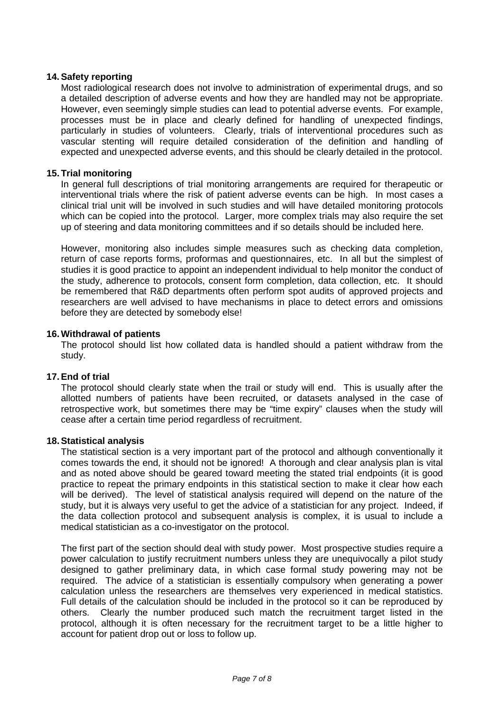# **14.Safety reporting**

Most radiological research does not involve to administration of experimental drugs, and so a detailed description of adverse events and how they are handled may not be appropriate. However, even seemingly simple studies can lead to potential adverse events. For example, processes must be in place and clearly defined for handling of unexpected findings, particularly in studies of volunteers. Clearly, trials of interventional procedures such as vascular stenting will require detailed consideration of the definition and handling of expected and unexpected adverse events, and this should be clearly detailed in the protocol.

### **15. Trial monitoring**

In general full descriptions of trial monitoring arrangements are required for therapeutic or interventional trials where the risk of patient adverse events can be high. In most cases a clinical trial unit will be involved in such studies and will have detailed monitoring protocols which can be copied into the protocol. Larger, more complex trials may also require the set up of steering and data monitoring committees and if so details should be included here.

However, monitoring also includes simple measures such as checking data completion, return of case reports forms, proformas and questionnaires, etc. In all but the simplest of studies it is good practice to appoint an independent individual to help monitor the conduct of the study, adherence to protocols, consent form completion, data collection, etc. It should be remembered that R&D departments often perform spot audits of approved projects and researchers are well advised to have mechanisms in place to detect errors and omissions before they are detected by somebody else!

#### **16.Withdrawal of patients**

The protocol should list how collated data is handled should a patient withdraw from the study.

#### **17.End of trial**

The protocol should clearly state when the trail or study will end. This is usually after the allotted numbers of patients have been recruited, or datasets analysed in the case of retrospective work, but sometimes there may be "time expiry" clauses when the study will cease after a certain time period regardless of recruitment.

#### **18.Statistical analysis**

The statistical section is a very important part of the protocol and although conventionally it comes towards the end, it should not be ignored! A thorough and clear analysis plan is vital and as noted above should be geared toward meeting the stated trial endpoints (it is good practice to repeat the primary endpoints in this statistical section to make it clear how each will be derived). The level of statistical analysis required will depend on the nature of the study, but it is always very useful to get the advice of a statistician for any project. Indeed, if the data collection protocol and subsequent analysis is complex, it is usual to include a medical statistician as a co-investigator on the protocol.

The first part of the section should deal with study power. Most prospective studies require a power calculation to justify recruitment numbers unless they are unequivocally a pilot study designed to gather preliminary data, in which case formal study powering may not be required. The advice of a statistician is essentially compulsory when generating a power calculation unless the researchers are themselves very experienced in medical statistics. Full details of the calculation should be included in the protocol so it can be reproduced by others. Clearly the number produced such match the recruitment target listed in the protocol, although it is often necessary for the recruitment target to be a little higher to account for patient drop out or loss to follow up.